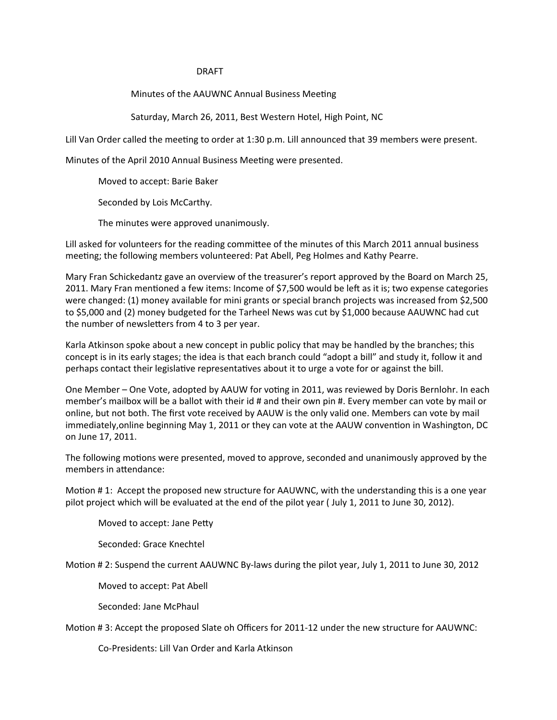## **DRAFT**

Minutes of the AAUWNC Annual Business Meeting

Saturday, March 26, 2011, Best Western Hotel, High Point, NC

Lill Van Order called the meeting to order at 1:30 p.m. Lill announced that 39 members were present.

Minutes of the April 2010 Annual Business Meeting were presented.

Moved to accept: Barie Baker

Seconded by Lois McCarthy.

The minutes were approved unanimously.

Lill asked for volunteers for the reading committee of the minutes of this March 2011 annual business meeting; the following members volunteered: Pat Abell, Peg Holmes and Kathy Pearre.

Mary Fran Schickedantz gave an overview of the treasurer's report approved by the Board on March 25, 2011. Mary Fran mentioned a few items: Income of \$7,500 would be left as it is; two expense categories were changed: (1) money available for mini grants or special branch projects was increased from \$2,500 to \$5,000 and (2) money budgeted for the Tarheel News was cut by \$1,000 because AAUWNC had cut the number of newsletters from 4 to 3 per year.

Karla Atkinson spoke about a new concept in public policy that may be handled by the branches; this concept is in its early stages; the idea is that each branch could "adopt a bill" and study it, follow it and perhaps contact their legislative representatives about it to urge a vote for or against the bill.

One Member - One Vote, adopted by AAUW for voting in 2011, was reviewed by Doris Bernlohr. In each member's mailbox will be a ballot with their id # and their own pin #. Every member can vote by mail or online, but not both. The first vote received by AAUW is the only valid one. Members can vote by mail immediately, online beginning May 1, 2011 or they can vote at the AAUW convention in Washington, DC on June 17, 2011.

The following motions were presented, moved to approve, seconded and unanimously approved by the members in attendance:

Motion #1: Accept the proposed new structure for AAUWNC, with the understanding this is a one year pilot project which will be evaluated at the end of the pilot year (July 1, 2011 to June 30, 2012).

Moved to accept: Jane Petty

Seconded: Grace Knechtel

Motion #2: Suspend the current AAUWNC By-laws during the pilot year, July 1, 2011 to June 30, 2012

Moved to accept: Pat Abell

Seconded: Jane McPhaul

Motion #3: Accept the proposed Slate oh Officers for 2011-12 under the new structure for AAUWNC:

Co-Presidents: Lill Van Order and Karla Atkinson